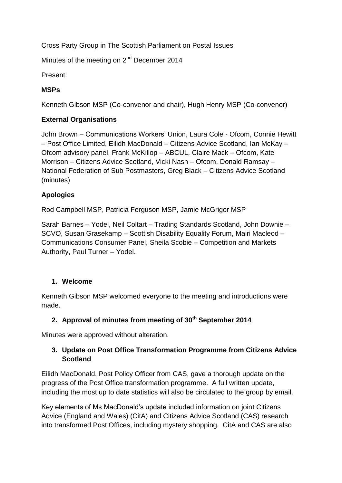Cross Party Group in The Scottish Parliament on Postal Issues

Minutes of the meeting on 2<sup>nd</sup> December 2014

Present:

## **MSPs**

Kenneth Gibson MSP (Co-convenor and chair), Hugh Henry MSP (Co-convenor)

## **External Organisations**

John Brown – Communications Workers' Union, Laura Cole - Ofcom, Connie Hewitt – Post Office Limited, Eilidh MacDonald – Citizens Advice Scotland, Ian McKay – Ofcom advisory panel, Frank McKillop – ABCUL, Claire Mack – Ofcom, Kate Morrison – Citizens Advice Scotland, Vicki Nash – Ofcom, Donald Ramsay – National Federation of Sub Postmasters, Greg Black – Citizens Advice Scotland (minutes)

## **Apologies**

Rod Campbell MSP, Patricia Ferguson MSP, Jamie McGrigor MSP

Sarah Barnes – Yodel, Neil Coltart – Trading Standards Scotland, John Downie – SCVO, Susan Grasekamp – Scottish Disability Equality Forum, Mairi Macleod – Communications Consumer Panel, Sheila Scobie – Competition and Markets Authority, Paul Turner – Yodel.

#### **1. Welcome**

Kenneth Gibson MSP welcomed everyone to the meeting and introductions were made.

#### **2. Approval of minutes from meeting of 30th September 2014**

Minutes were approved without alteration.

## **3. Update on Post Office Transformation Programme from Citizens Advice Scotland**

Eilidh MacDonald, Post Policy Officer from CAS, gave a thorough update on the progress of the Post Office transformation programme. A full written update, including the most up to date statistics will also be circulated to the group by email.

Key elements of Ms MacDonald's update included information on joint Citizens Advice (England and Wales) (CitA) and Citizens Advice Scotland (CAS) research into transformed Post Offices, including mystery shopping. CitA and CAS are also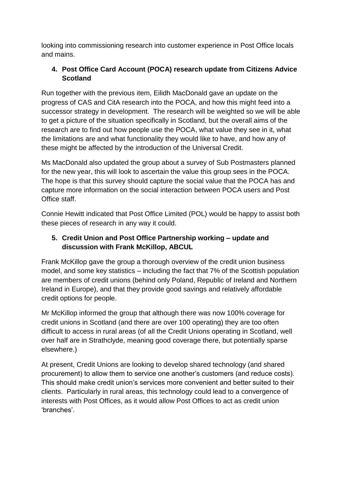looking into commissioning research into customer experience in Post Office locals and mains.

# **4. Post Office Card Account (POCA) research update from Citizens Advice Scotland**

Run together with the previous item, Eilidh MacDonald gave an update on the progress of CAS and CitA research into the POCA, and how this might feed into a successor strategy in development. The research will be weighted so we will be able to get a picture of the situation specifically in Scotland, but the overall aims of the research are to find out how people use the POCA, what value they see in it, what the limitations are and what functionality they would like to have, and how any of these might be affected by the introduction of the Universal Credit.

Ms MacDonald also updated the group about a survey of Sub Postmasters planned for the new year, this will look to ascertain the value this group sees in the POCA. The hope is that this survey should capture the social value that the POCA has and capture more information on the social interaction between POCA users and Post Office staff.

Connie Hewitt indicated that Post Office Limited (POL) would be happy to assist both these pieces of research in any way it could.

# **5. Credit Union and Post Office Partnership working – update and discussion with Frank McKillop, ABCUL**

Frank McKillop gave the group a thorough overview of the credit union business model, and some key statistics – including the fact that 7% of the Scottish population are members of credit unions (behind only Poland, Republic of Ireland and Northern Ireland in Europe), and that they provide good savings and relatively affordable credit options for people.

Mr McKillop informed the group that although there was now 100% coverage for credit unions in Scotland (and there are over 100 operating) they are too often difficult to access in rural areas (of all the Credit Unions operating in Scotland, well over half are in Strathclyde, meaning good coverage there, but potentially sparse elsewhere.)

At present, Credit Unions are looking to develop shared technology (and shared procurement) to allow them to service one another's customers (and reduce costs). This should make credit union's services more convenient and better suited to their clients. Particularly in rural areas, this technology could lead to a convergence of interests with Post Offices, as it would allow Post Offices to act as credit union 'branches'.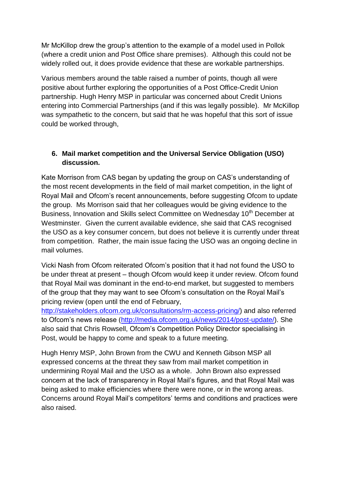Mr McKillop drew the group's attention to the example of a model used in Pollok (where a credit union and Post Office share premises). Although this could not be widely rolled out, it does provide evidence that these are workable partnerships.

Various members around the table raised a number of points, though all were positive about further exploring the opportunities of a Post Office-Credit Union partnership. Hugh Henry MSP in particular was concerned about Credit Unions entering into Commercial Partnerships (and if this was legally possible). Mr McKillop was sympathetic to the concern, but said that he was hopeful that this sort of issue could be worked through,

## **6. Mail market competition and the Universal Service Obligation (USO) discussion.**

Kate Morrison from CAS began by updating the group on CAS's understanding of the most recent developments in the field of mail market competition, in the light of Royal Mail and Ofcom's recent announcements, before suggesting Ofcom to update the group. Ms Morrison said that her colleagues would be giving evidence to the Business, Innovation and Skills select Committee on Wednesday 10<sup>th</sup> December at Westminster. Given the current available evidence, she said that CAS recognised the USO as a key consumer concern, but does not believe it is currently under threat from competition. Rather, the main issue facing the USO was an ongoing decline in mail volumes.

Vicki Nash from Ofcom reiterated Ofcom's position that it had not found the USO to be under threat at present – though Ofcom would keep it under review. Ofcom found that Royal Mail was dominant in the end-to-end market, but suggested to members of the group that they may want to see Ofcom's consultation on the Royal Mail's pricing review (open until the end of February,

[http://stakeholders.ofcom.org.uk/consultations/rm-access-pricing/\)](http://stakeholders.ofcom.org.uk/consultations/rm-access-pricing/) and also referred to Ofcom's news release [\(http://media.ofcom.org.uk/news/2014/post-update/\)](http://media.ofcom.org.uk/news/2014/post-update/). She also said that Chris Rowsell, Ofcom's Competition Policy Director specialising in Post, would be happy to come and speak to a future meeting.

Hugh Henry MSP, John Brown from the CWU and Kenneth Gibson MSP all expressed concerns at the threat they saw from mail market competition in undermining Royal Mail and the USO as a whole. John Brown also expressed concern at the lack of transparency in Royal Mail's figures, and that Royal Mail was being asked to make efficiencies where there were none, or in the wrong areas. Concerns around Royal Mail's competitors' terms and conditions and practices were also raised.